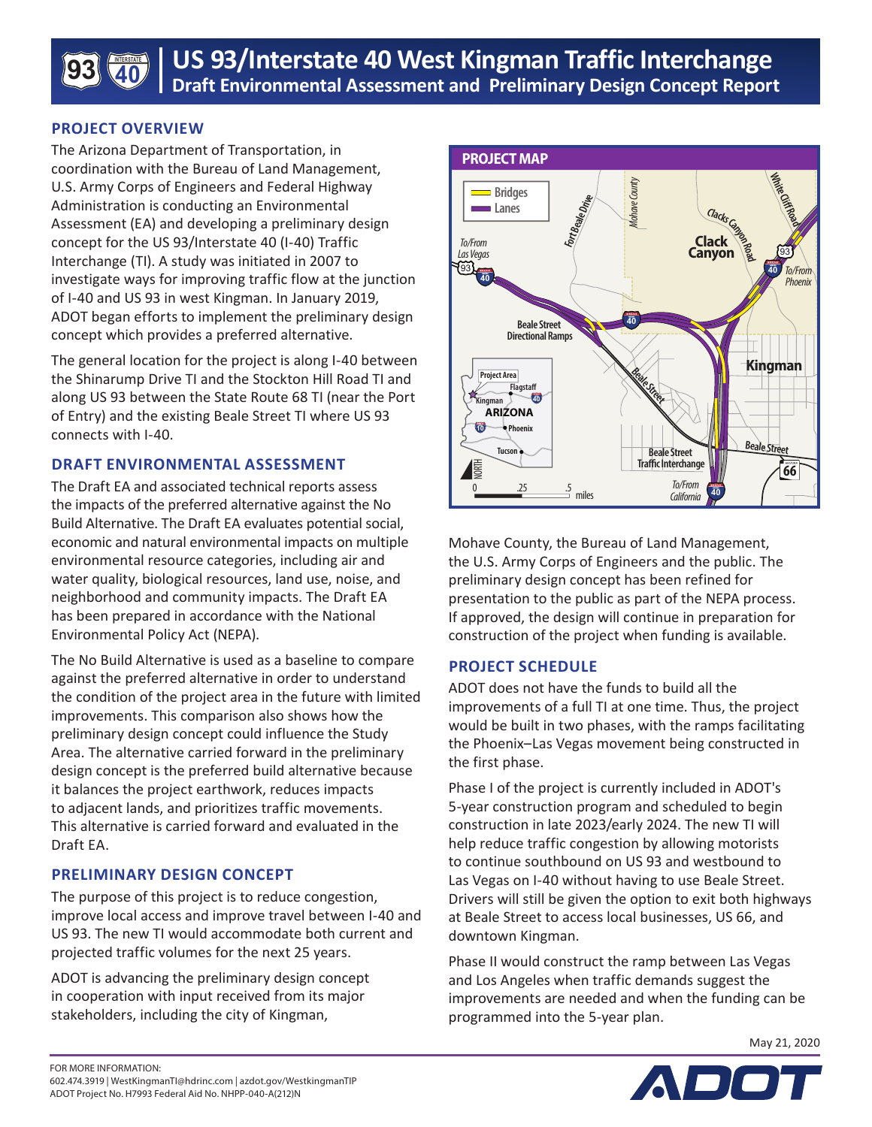

## **PROJECT OVERVIEW**

The Arizona Department of Transportation, in coordination with the Bureau of Land Management, U.S. Army Corps of Engineers and Federal Highway Administration is conducting an Environmental Assessment (EA) and developing a preliminary design concept for the US 93/Interstate 40 (I-40) Traffic Interchange (TI). A study was initiated in 2007 to investigate ways for improving traffic flow at the junction of I-40 and US 93 in west Kingman. In January 2019, ADOT began efforts to implement the preliminary design concept which provides a preferred alternative.

The general location for the project is along I-40 between the Shinarump Drive TI and the Stockton Hill Road TI and along US 93 between the State Route 68 TI (near the Port of Entry) and the existing Beale Street TI where US 93 connects with I-40.

## **DRAFT ENVIRONMENTAL ASSESSMENT**

The Draft EA and associated technical reports assess the impacts of the preferred alternative against the No Build Alternative. The Draft EA evaluates potential social, economic and natural environmental impacts on multiple environmental resource categories, including air and water quality, biological resources, land use, noise, and neighborhood and community impacts. The Draft EA has been prepared in accordance with the National Environmental Policy Act (NEPA).

The No Build Alternative is used as a baseline to compare against the preferred alternative in order to understand the condition of the project area in the future with limited improvements. This comparison also shows how the preliminary design concept could influence the Study Area. The alternative carried forward in the preliminary design concept is the preferred build alternative because it balances the project earthwork, reduces impacts to adjacent lands, and prioritizes traffic movements. This alternative is carried forward and evaluated in the Draft EA.

# **PRELIMINARY DESIGN CONCEPT**

The purpose of this project is to reduce congestion, improve local access and improve travel between I-40 and US 93. The new TI would accommodate both current and projected traffic volumes for the next 25 years.

ADOT is advancing the preliminary design concept in cooperation with input received from its major stakeholders, including the city of Kingman,



Mohave County, the Bureau of Land Management, the U.S. Army Corps of Engineers and the public. The preliminary design concept has been refined for presentation to the public as part of the NEPA process. If approved, the design will continue in preparation for construction of the project when funding is available.

### **PROJECT SCHEDULE**

ADOT does not have the funds to build all the improvements of a full TI at one time. Thus, the project would be built in two phases, with the ramps facilitating the Phoenix–Las Vegas movement being constructed in the first phase.

Phase I of the project is currently included in ADOT's 5-year construction program and scheduled to begin construction in late 2023/early 2024. The new TI will help reduce traffic congestion by allowing motorists to continue southbound on US 93 and westbound to Las Vegas on I-40 without having to use Beale Street. Drivers will still be given the option to exit both highways at Beale Street to access local businesses, US 66, and downtown Kingman.

Phase II would construct the ramp between Las Vegas and Los Angeles when traffic demands suggest the improvements are needed and when the funding can be programmed into the 5-year plan.

May 21, 2020